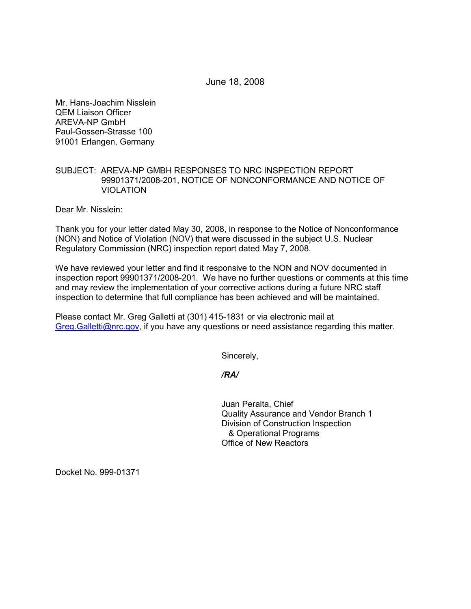June 18, 2008

Mr. Hans-Joachim Nisslein QEM Liaison Officer AREVA-NP GmbH Paul-Gossen-Strasse 100 91001 Erlangen, Germany

## SUBJECT: AREVA-NP GMBH RESPONSES TO NRC INSPECTION REPORT 99901371/2008-201, NOTICE OF NONCONFORMANCE AND NOTICE OF **VIOLATION**

Dear Mr. Nisslein:

Thank you for your letter dated May 30, 2008, in response to the Notice of Nonconformance (NON) and Notice of Violation (NOV) that were discussed in the subject U.S. Nuclear Regulatory Commission (NRC) inspection report dated May 7, 2008.

We have reviewed your letter and find it responsive to the NON and NOV documented in inspection report 99901371/2008-201. We have no further questions or comments at this time and may review the implementation of your corrective actions during a future NRC staff inspection to determine that full compliance has been achieved and will be maintained.

Please contact Mr. Greg Galletti at (301) 415-1831 or via electronic mail at Greg.Galletti@nrc.gov, if you have any questions or need assistance regarding this matter.

Sincerely,

*/RA/* 

Juan Peralta, Chief Quality Assurance and Vendor Branch 1 Division of Construction Inspection & Operational Programs Office of New Reactors

Docket No. 999-01371